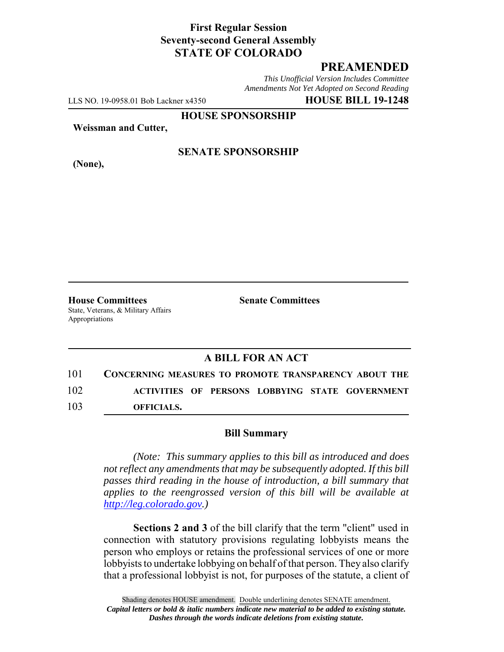## **First Regular Session Seventy-second General Assembly STATE OF COLORADO**

# **PREAMENDED**

*This Unofficial Version Includes Committee Amendments Not Yet Adopted on Second Reading*

LLS NO. 19-0958.01 Bob Lackner x4350 **HOUSE BILL 19-1248**

**HOUSE SPONSORSHIP**

**Weissman and Cutter,**

**(None),**

### **SENATE SPONSORSHIP**

**House Committees Senate Committees** State, Veterans, & Military Affairs Appropriations

## **A BILL FOR AN ACT**

101 **CONCERNING MEASURES TO PROMOTE TRANSPARENCY ABOUT THE** 102 **ACTIVITIES OF PERSONS LOBBYING STATE GOVERNMENT** 103 **OFFICIALS.**

#### **Bill Summary**

*(Note: This summary applies to this bill as introduced and does not reflect any amendments that may be subsequently adopted. If this bill passes third reading in the house of introduction, a bill summary that applies to the reengrossed version of this bill will be available at http://leg.colorado.gov.)*

**Sections 2 and 3** of the bill clarify that the term "client" used in connection with statutory provisions regulating lobbyists means the person who employs or retains the professional services of one or more lobbyists to undertake lobbying on behalf of that person. They also clarify that a professional lobbyist is not, for purposes of the statute, a client of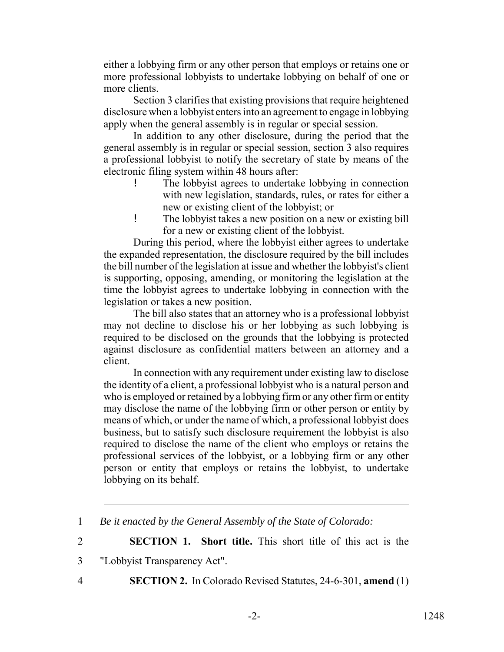either a lobbying firm or any other person that employs or retains one or more professional lobbyists to undertake lobbying on behalf of one or more clients.

Section 3 clarifies that existing provisions that require heightened disclosure when a lobbyist enters into an agreement to engage in lobbying apply when the general assembly is in regular or special session.

In addition to any other disclosure, during the period that the general assembly is in regular or special session, section 3 also requires a professional lobbyist to notify the secretary of state by means of the electronic filing system within 48 hours after:

- The lobbyist agrees to undertake lobbying in connection with new legislation, standards, rules, or rates for either a new or existing client of the lobbyist; or
- ! The lobbyist takes a new position on a new or existing bill for a new or existing client of the lobbyist.

During this period, where the lobbyist either agrees to undertake the expanded representation, the disclosure required by the bill includes the bill number of the legislation at issue and whether the lobbyist's client is supporting, opposing, amending, or monitoring the legislation at the time the lobbyist agrees to undertake lobbying in connection with the legislation or takes a new position.

The bill also states that an attorney who is a professional lobbyist may not decline to disclose his or her lobbying as such lobbying is required to be disclosed on the grounds that the lobbying is protected against disclosure as confidential matters between an attorney and a client.

In connection with any requirement under existing law to disclose the identity of a client, a professional lobbyist who is a natural person and who is employed or retained by a lobbying firm or any other firm or entity may disclose the name of the lobbying firm or other person or entity by means of which, or under the name of which, a professional lobbyist does business, but to satisfy such disclosure requirement the lobbyist is also required to disclose the name of the client who employs or retains the professional services of the lobbyist, or a lobbying firm or any other person or entity that employs or retains the lobbyist, to undertake lobbying on its behalf.

2 **SECTION 1. Short title.** This short title of this act is the

- 3 "Lobbyist Transparency Act".
- 

4 **SECTION 2.** In Colorado Revised Statutes, 24-6-301, **amend** (1)

<sup>1</sup> *Be it enacted by the General Assembly of the State of Colorado:*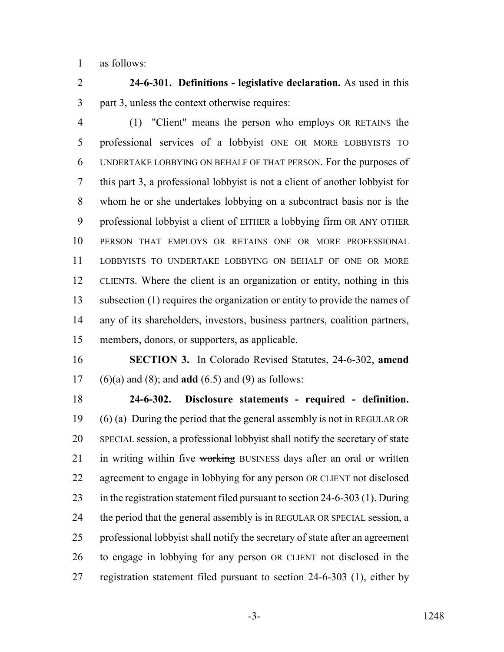as follows:

 **24-6-301. Definitions - legislative declaration.** As used in this part 3, unless the context otherwise requires:

 (1) "Client" means the person who employs OR RETAINS the 5 professional services of a lobbyist ONE OR MORE LOBBYISTS TO UNDERTAKE LOBBYING ON BEHALF OF THAT PERSON. For the purposes of this part 3, a professional lobbyist is not a client of another lobbyist for whom he or she undertakes lobbying on a subcontract basis nor is the professional lobbyist a client of EITHER a lobbying firm OR ANY OTHER PERSON THAT EMPLOYS OR RETAINS ONE OR MORE PROFESSIONAL LOBBYISTS TO UNDERTAKE LOBBYING ON BEHALF OF ONE OR MORE CLIENTS. Where the client is an organization or entity, nothing in this subsection (1) requires the organization or entity to provide the names of any of its shareholders, investors, business partners, coalition partners, members, donors, or supporters, as applicable.

 **SECTION 3.** In Colorado Revised Statutes, 24-6-302, **amend** (6)(a) and (8); and **add** (6.5) and (9) as follows:

 **24-6-302. Disclosure statements - required - definition.** (6) (a) During the period that the general assembly is not in REGULAR OR SPECIAL session, a professional lobbyist shall notify the secretary of state 21 in writing within five working BUSINESS days after an oral or written agreement to engage in lobbying for any person OR CLIENT not disclosed in the registration statement filed pursuant to section 24-6-303 (1). During 24 the period that the general assembly is in REGULAR OR SPECIAL session, a professional lobbyist shall notify the secretary of state after an agreement to engage in lobbying for any person OR CLIENT not disclosed in the registration statement filed pursuant to section 24-6-303 (1), either by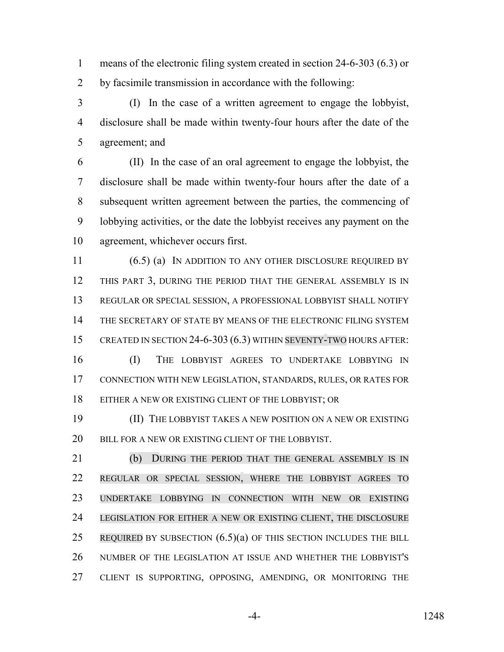means of the electronic filing system created in section 24-6-303 (6.3) or by facsimile transmission in accordance with the following:

 (I) In the case of a written agreement to engage the lobbyist, disclosure shall be made within twenty-four hours after the date of the agreement; and

 (II) In the case of an oral agreement to engage the lobbyist, the disclosure shall be made within twenty-four hours after the date of a subsequent written agreement between the parties, the commencing of lobbying activities, or the date the lobbyist receives any payment on the agreement, whichever occurs first.

11 (6.5) (a) IN ADDITION TO ANY OTHER DISCLOSURE REQUIRED BY THIS PART 3, DURING THE PERIOD THAT THE GENERAL ASSEMBLY IS IN REGULAR OR SPECIAL SESSION, A PROFESSIONAL LOBBYIST SHALL NOTIFY THE SECRETARY OF STATE BY MEANS OF THE ELECTRONIC FILING SYSTEM CREATED IN SECTION 24-6-303 (6.3) WITHIN SEVENTY-TWO HOURS AFTER:

 (I) THE LOBBYIST AGREES TO UNDERTAKE LOBBYING IN CONNECTION WITH NEW LEGISLATION, STANDARDS, RULES, OR RATES FOR EITHER A NEW OR EXISTING CLIENT OF THE LOBBYIST; OR

 (II) THE LOBBYIST TAKES A NEW POSITION ON A NEW OR EXISTING 20 BILL FOR A NEW OR EXISTING CLIENT OF THE LOBBYIST.

 (b) DURING THE PERIOD THAT THE GENERAL ASSEMBLY IS IN REGULAR OR SPECIAL SESSION, WHERE THE LOBBYIST AGREES TO UNDERTAKE LOBBYING IN CONNECTION WITH NEW OR EXISTING LEGISLATION FOR EITHER A NEW OR EXISTING CLIENT, THE DISCLOSURE 25 REQUIRED BY SUBSECTION  $(6.5)(a)$  OF THIS SECTION INCLUDES THE BILL NUMBER OF THE LEGISLATION AT ISSUE AND WHETHER THE LOBBYIST'S CLIENT IS SUPPORTING, OPPOSING, AMENDING, OR MONITORING THE

-4- 1248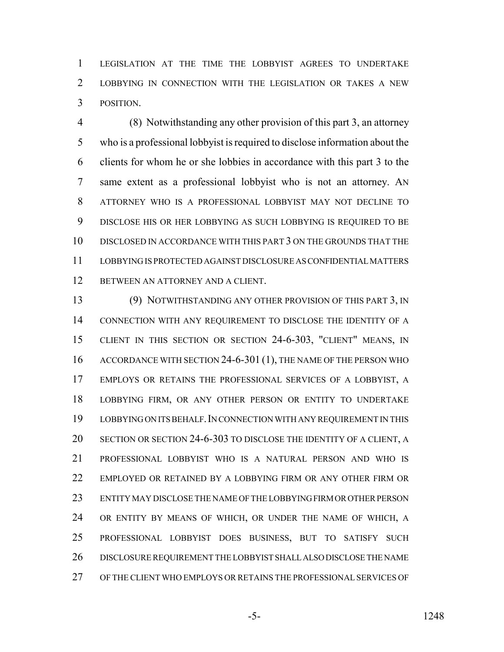LEGISLATION AT THE TIME THE LOBBYIST AGREES TO UNDERTAKE LOBBYING IN CONNECTION WITH THE LEGISLATION OR TAKES A NEW POSITION.

 (8) Notwithstanding any other provision of this part 3, an attorney who is a professional lobbyist is required to disclose information about the clients for whom he or she lobbies in accordance with this part 3 to the same extent as a professional lobbyist who is not an attorney. AN ATTORNEY WHO IS A PROFESSIONAL LOBBYIST MAY NOT DECLINE TO DISCLOSE HIS OR HER LOBBYING AS SUCH LOBBYING IS REQUIRED TO BE DISCLOSED IN ACCORDANCE WITH THIS PART 3 ON THE GROUNDS THAT THE LOBBYING IS PROTECTED AGAINST DISCLOSURE AS CONFIDENTIAL MATTERS BETWEEN AN ATTORNEY AND A CLIENT.

 (9) NOTWITHSTANDING ANY OTHER PROVISION OF THIS PART 3, IN CONNECTION WITH ANY REQUIREMENT TO DISCLOSE THE IDENTITY OF A CLIENT IN THIS SECTION OR SECTION 24-6-303, "CLIENT" MEANS, IN 16 ACCORDANCE WITH SECTION 24-6-301 (1), THE NAME OF THE PERSON WHO EMPLOYS OR RETAINS THE PROFESSIONAL SERVICES OF A LOBBYIST, A LOBBYING FIRM, OR ANY OTHER PERSON OR ENTITY TO UNDERTAKE LOBBYING ON ITS BEHALF.IN CONNECTION WITH ANY REQUIREMENT IN THIS SECTION OR SECTION 24-6-303 TO DISCLOSE THE IDENTITY OF A CLIENT, A PROFESSIONAL LOBBYIST WHO IS A NATURAL PERSON AND WHO IS EMPLOYED OR RETAINED BY A LOBBYING FIRM OR ANY OTHER FIRM OR ENTITY MAY DISCLOSE THE NAME OF THE LOBBYING FIRM OR OTHER PERSON OR ENTITY BY MEANS OF WHICH, OR UNDER THE NAME OF WHICH, A PROFESSIONAL LOBBYIST DOES BUSINESS, BUT TO SATISFY SUCH DISCLOSURE REQUIREMENT THE LOBBYIST SHALL ALSO DISCLOSE THE NAME OF THE CLIENT WHO EMPLOYS OR RETAINS THE PROFESSIONAL SERVICES OF

-5- 1248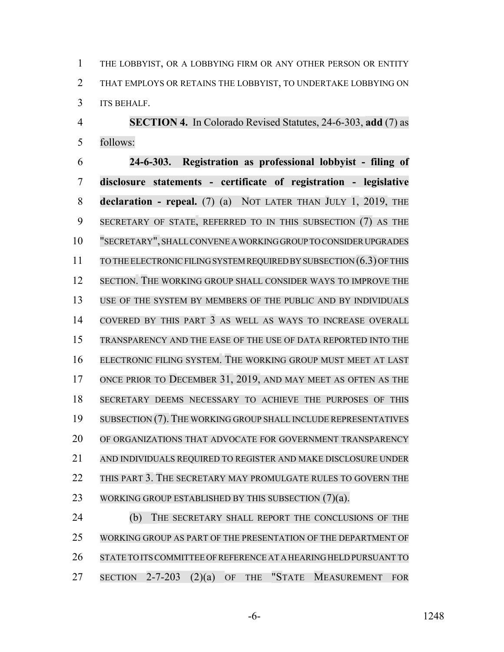THE LOBBYIST, OR A LOBBYING FIRM OR ANY OTHER PERSON OR ENTITY THAT EMPLOYS OR RETAINS THE LOBBYIST, TO UNDERTAKE LOBBYING ON ITS BEHALF.

 **SECTION 4.** In Colorado Revised Statutes, 24-6-303, **add** (7) as follows:

 **24-6-303. Registration as professional lobbyist - filing of disclosure statements - certificate of registration - legislative declaration - repeal.** (7) (a) NOT LATER THAN JULY 1, 2019, THE SECRETARY OF STATE, REFERRED TO IN THIS SUBSECTION (7) AS THE "SECRETARY", SHALLCONVENE A WORKING GROUP TO CONSIDER UPGRADES TO THE ELECTRONIC FILING SYSTEM REQUIRED BY SUBSECTION (6.3) OFTHIS SECTION. THE WORKING GROUP SHALL CONSIDER WAYS TO IMPROVE THE USE OF THE SYSTEM BY MEMBERS OF THE PUBLIC AND BY INDIVIDUALS COVERED BY THIS PART 3 AS WELL AS WAYS TO INCREASE OVERALL TRANSPARENCY AND THE EASE OF THE USE OF DATA REPORTED INTO THE ELECTRONIC FILING SYSTEM. THE WORKING GROUP MUST MEET AT LAST ONCE PRIOR TO DECEMBER 31, 2019, AND MAY MEET AS OFTEN AS THE SECRETARY DEEMS NECESSARY TO ACHIEVE THE PURPOSES OF THIS SUBSECTION (7). THE WORKING GROUP SHALL INCLUDE REPRESENTATIVES 20 OF ORGANIZATIONS THAT ADVOCATE FOR GOVERNMENT TRANSPARENCY AND INDIVIDUALS REQUIRED TO REGISTER AND MAKE DISCLOSURE UNDER THIS PART 3. THE SECRETARY MAY PROMULGATE RULES TO GOVERN THE 23 WORKING GROUP ESTABLISHED BY THIS SUBSECTION (7)(a).

24 (b) THE SECRETARY SHALL REPORT THE CONCLUSIONS OF THE WORKING GROUP AS PART OF THE PRESENTATION OF THE DEPARTMENT OF STATE TO ITSCOMMITTEE OFREFERENCE AT A HEARING HELD PURSUANT TO 27 SECTION 2-7-203 (2)(a) OF THE "STATE MEASUREMENT FOR